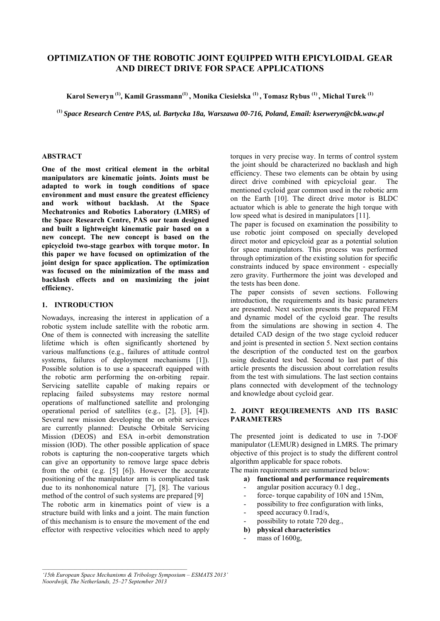# **OPTIMIZATION OF THE ROBOTIC JOINT EQUIPPED WITH EPICYLOIDAL GEAR AND DIRECT DRIVE FOR SPACE APPLICATIONS**

**Karol Seweryn (1), Kamil Grassmann(1) , Monika Ciesielska (1) , Tomasz Rybus (1) , Michał Turek (1)** 

**(1)** *Space Research Centre PAS, ul. Bartycka 18a, Warszawa 00-716, Poland, Email: kserweryn@cbk.waw.pl*

#### **ABSTRACT**

**One of the most critical element in the orbital manipulators are kinematic joints. Joints must be adapted to work in tough conditions of space environment and must ensure the greatest efficiency and work without backlash. At the Space Mechatronics and Robotics Laboratory (LMRS) of the Space Research Centre, PAS our team designed and built a lightweight kinematic pair based on a new concept. The new concept is based on the epicycloid two-stage gearbox with torque motor. In this paper we have focused on optimization of the joint design for space application. The optimization was focused on the minimization of the mass and backlash effects and on maximizing the joint efficiency.** 

### **1. INTRODUCTION**

Nowadays, increasing the interest in application of a robotic system include satellite with the robotic arm. One of them is connected with increasing the satellite lifetime which is often significantly shortened by various malfunctions (e.g., failures of attitude control systems, failures of deployment mechanisms [1]). Possible solution is to use a spacecraft equipped with the robotic arm performing the on-orbiting repair. Servicing satellite capable of making repairs or replacing failed subsystems may restore normal operations of malfunctioned satellite and prolonging operational period of satellites (e.g., [2], [3], [4]). Several new mission developing the on orbit services are currently planned: Deutsche Orbitale Servicing Mission (DEOS) and ESA in-orbit demonstration mission (IOD). The other possible application of space robots is capturing the non-cooperative targets which can give an opportunity to remove large space debris from the orbit (e.g. [5] [6]). However the accurate positioning of the manipulator arm is complicated task due to its nonhonomical nature [7], [8]. The various method of the control of such systems are prepared [9] The robotic arm in kinematics point of view is a structure build with links and a joint. The main function of this mechanism is to ensure the movement of the end effector with respective velocities which need to apply torques in very precise way. In terms of control system the joint should be characterized no backlash and high efficiency. These two elements can be obtain by using direct drive combined with epicycloial gear. The mentioned cycloid gear common used in the robotic arm on the Earth [10]. The direct drive motor is BLDC actuator which is able to generate the high torque with low speed what is desired in manipulators [11].

The paper is focused on examination the possibility to use robotic joint composed on specially developed direct motor and epicycloid gear as a potential solution for space manipulators. This process was performed through optimization of the existing solution for specific constraints induced by space environment - especially zero gravity. Furthermore the joint was developed and the tests has been done.

The paper consists of seven sections. Following introduction, the requirements and its basic parameters are presented. Next section presents the prepared FEM and dynamic model of the cycloid gear. The results from the simulations are showing in section 4. The detailed CAD design of the two stage cycloid reducer and joint is presented in section 5. Next section contains the description of the conducted test on the gearbox using dedicated test bed. Second to last part of this article presents the discussion about correlation results from the test with simulations. The last section contains plans connected with development of the technology and knowledge about cycloid gear.

## **2. JOINT REQUIREMENTS AND ITS BASIC PARAMETERS**

The presented joint is dedicated to use in 7-DOF manipulator (LEMUR) designed in LMRS. The primary objective of this project is to study the different control algorithm applicable for space robots.

The main requirements are summarized below:

- **a) functional and performance requirements**
- angular position accuracy 0.1 deg.,
- force- torque capability of 10N and 15Nm,
- possibility to free configuration with links,
- speed accuracy 0.1rad/s,
- possibility to rotate 720 deg.,
- **b) physical characteristics**
- mass of  $1600g$ ,

*<sup>&#</sup>x27;15th European Space Mechanisms & Tribology Symposium – ESMATS 2013' Noordwijk, The Netherlands, 25–27 September 2013*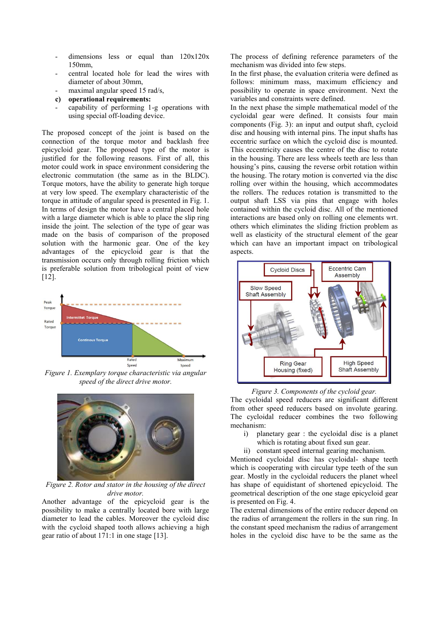- dimensions less or equal than  $120x120x$ 150mm,
- central located hole for lead the wires with diameter of about 30mm,
- maximal angular speed 15 rad/s,
- **c) operational requirements:**
- capability of performing 1-g operations with using special off-loading device.

The proposed concept of the joint is based on the connection of the torque motor and backlash free epicycloid gear. The proposed type of the motor is justified for the following reasons. First of all, this motor could work in space environment considering the electronic commutation (the same as in the BLDC). Torque motors, have the ability to generate high torque at very low speed. The exemplary characteristic of the torque in attitude of angular speed is presented in Fig. 1. In terms of design the motor have a central placed hole with a large diameter which is able to place the slip ring inside the joint. The selection of the type of gear was made on the basis of comparison of the proposed solution with the harmonic gear. One of the key advantages of the epicycloid gear is that the transmission occurs only through rolling friction which is preferable solution from tribological point of view [12].



*Figure 1. Exemplary torque characteristic via angular speed of the direct drive motor.*



*Figure 2. Rotor and stator in the housing of the direct drive motor.* 

Another advantage of the epicycloid gear is the possibility to make a centrally located bore with large diameter to lead the cables. Moreover the cycloid disc with the cycloid shaped tooth allows achieving a high gear ratio of about 171:1 in one stage [13].

The process of defining reference parameters of the mechanism was divided into few steps.

In the first phase, the evaluation criteria were defined as follows: minimum mass, maximum efficiency and possibility to operate in space environment. Next the variables and constraints were defined.

In the next phase the simple mathematical model of the cycloidal gear were defined. It consists four main components (Fig. 3): an input and output shaft, cycloid disc and housing with internal pins. The input shafts has eccentric surface on which the cycloid disc is mounted. This eccentricity causes the centre of the disc to rotate in the housing. There are less wheels teeth are less than housing's pins, causing the reverse orbit rotation within the housing. The rotary motion is converted via the disc rolling over within the housing, which accommodates the rollers. The reduces rotation is transmitted to the output shaft LSS via pins that engage with holes contained within the cycloid disc. All of the mentioned interactions are based only on rolling one elements wrt. others which eliminates the sliding friction problem as well as elasticity of the structural element of the gear which can have an important impact on tribological aspects.



*Figure 3. Components of the cycloid gear.* 

The cycloidal speed reducers are significant different from other speed reducers based on involute gearing. The cycloidal reducer combines the two following mechanism:

- i) planetary gear : the cycloidal disc is a planet
- which is rotating about fixed sun gear.

ii) constant speed internal gearing mechanism. Mentioned cycloidal disc has cycloidal- shape teeth which is cooperating with circular type teeth of the sun gear. Mostly in the cycloidal reducers the planet wheel has shape of equidistant of shortened epicycloid. The geometrical description of the one stage epicycloid gear is presented on Fig. 4.

The external dimensions of the entire reducer depend on the radius of arrangement the rollers in the sun ring. In the constant speed mechanism the radius of arrangement holes in the cycloid disc have to be the same as the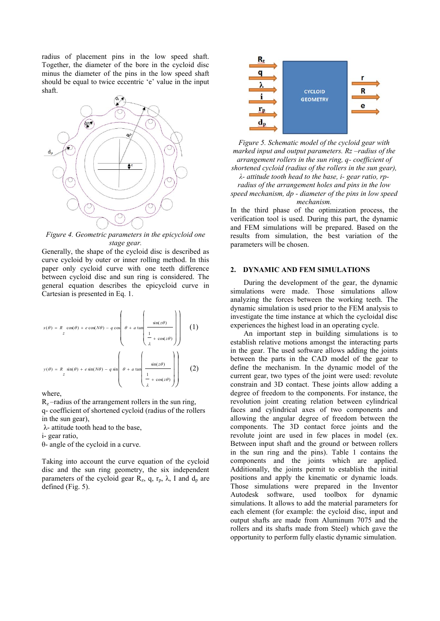radius of placement pins in the low speed shaft. Together, the diameter of the bore in the cycloid disc minus the diameter of the pins in the low speed shaft should be equal to twice eccentric 'e' value in the input shaft.



*Figure 4. Geometric parameters in the epicycloid one stage gear.* 

Generally, the shape of the cycloid disc is described as curve cycloid by outer or inner rolling method. In this paper only cycloid curve with one teeth difference between cycloid disc and sun ring is considered. The general equation describes the epicycloid curve in Cartesian is presented in Eq. 1.

$$
x(\theta) = R \cos(\theta) + e \cos(N\theta) - q \cos\left(\theta + a \tan\left(\frac{\sin(z\theta)}{\frac{1}{\lambda} + \cos(z\theta)}\right)\right)
$$
(1)  

$$
y(\theta) = R \sin(\theta) + e \sin(N\theta) - q \sin\left(\theta + a \tan\left(\frac{\sin(z\theta)}{\frac{1}{\lambda} + \cos(z\theta)}\right)\right)
$$
(2)

where,

 $R<sub>z</sub>$  –radius of the arrangement rollers in the sun ring, q- coefficient of shortened cycloid (radius of the rollers in the sun gear),

λ- attitude tooth head to the base,

i- gear ratio,

θ- angle of the cycloid in a curve.

Taking into account the curve equation of the cycloid disc and the sun ring geometry, the six independent parameters of the cycloid gear  $R_z$ , q,  $r_p$ ,  $\lambda$ , I and  $d_p$  are defined (Fig. 5).



*Figure 5. Schematic model of the cycloid gear with marked input and output parameters. Rz –radius of the arrangement rollers in the sun ring, q- coefficient of shortened cycloid (radius of the rollers in the sun gear), λ- attitude tooth head to the base, i- gear ratio, rpradius of the arrangement holes and pins in the low speed mechanism, dp - diameter of the pins in low speed mechanism.* 

In the third phase of the optimization process, the verification tool is used. During this part, the dynamic and FEM simulations will be prepared. Based on the results from simulation, the best variation of the parameters will be chosen.

#### **2. DYNAMIC AND FEM SIMULATIONS**

 During the development of the gear, the dynamic simulations were made. Those simulations allow analyzing the forces between the working teeth. The dynamic simulation is used prior to the FEM analysis to investigate the time instance at which the cycloidal disc experiences the highest load in an operating cycle.

 An important step in building simulations is to establish relative motions amongst the interacting parts in the gear. The used software allows adding the joints between the parts in the CAD model of the gear to define the mechanism. In the dynamic model of the current gear, two types of the joint were used: revolute constrain and 3D contact. These joints allow adding a degree of freedom to the components. For instance, the revolution joint creating relation between cylindrical faces and cylindrical axes of two components and allowing the angular degree of freedom between the components. The 3D contact force joints and the revolute joint are used in few places in model (ex. Between input shaft and the ground or between rollers in the sun ring and the pins). Table 1 contains the components and the joints which are applied. Additionally, the joints permit to establish the initial positions and apply the kinematic or dynamic loads. Those simulations were prepared in the Inventor Autodesk software, used toolbox for dynamic simulations. It allows to add the material parameters for each element (for example: the cycloid disc, input and output shafts are made from Aluminum 7075 and the rollers and its shafts made from Steel) which gave the opportunity to perform fully elastic dynamic simulation.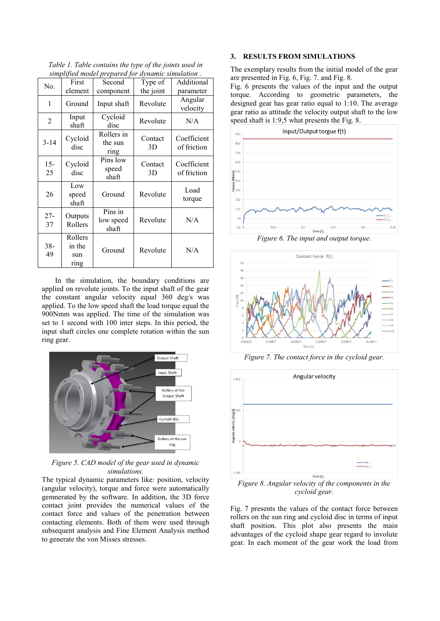| No.          | First                            | Second                        | Type of       | Additional                 |
|--------------|----------------------------------|-------------------------------|---------------|----------------------------|
|              | element                          | component                     | the joint     | parameter                  |
| 1            | Ground                           | Input shaft                   | Revolute      | Angular<br>velocity        |
| 2            | Input<br>shaft                   | Cycloid<br>disc               | Revolute      | N/A                        |
| $3 - 14$     | Cycloid<br>disc                  | Rollers in<br>the sun<br>ring | Contact<br>3D | Coefficient<br>of friction |
| $15 -$<br>25 | Cycloid<br>disc                  | Pins low<br>speed<br>shaft    | Contact<br>3D | Coefficient<br>of friction |
| 26           | Low<br>speed<br>shaft            | Ground                        | Revolute      | Load<br>torque             |
| $27 -$<br>37 | Outputs<br>Rollers               | Pins in<br>low speed<br>shaft | Revolute      | N/A                        |
| 38-<br>49    | Rollers<br>in the<br>sun<br>ring | Ground                        | Revolute      | N/A                        |

*Table 1. Table contains the type of the joints used in simplified model prepared for dynamic simulation .* 

 In the simulation, the boundary conditions are applied on revolute joints. To the input shaft of the gear the constant angular velocity equal 360 deg/s was applied. To the low speed shaft the load torque equal the 900Nmm was applied. The time of the simulation was set to 1 second with 100 inter steps. In this period, the input shaft circles one complete rotation within the sun ring gear.



*Figure 5. CAD model of the gear used in dynamic simulations.* 

The typical dynamic parameters like: position, velocity (angular velocity), torque and force were automatically gemnerated by the software. In addition, the 3D force contact joint provides the numerical values of the contact force and values of the penetration between contacting elements. Both of them were used through subsequent analysis and Fine Element Analysis method to generate the von Misses stresses.

#### **3. RESULTS FROM SIMULATIONS**

The exemplary results from the initial model of the gear are presented in Fig. 6, Fig. 7. and Fig. 8.

Fig. 6 presents the values of the input and the output torque. According to geometric parameters, the designed gear has gear ratio equal to 1:10. The average gear ratio as attitude the velocity output shaft to the low speed shaft is 1:9,5 what presents the Fig. 8.



*Figure 6. The input and output torque.* 



*Figure 7. The contact force in the cycloid gear.* 



*cycloid gear.* 

Fig. 7 presents the values of the contact force between rollers on the sun ring and cycloid disc in terms of input shaft position. This plot also presents the main advantages of the cycloid shape gear regard to involute gear. In each moment of the gear work the load from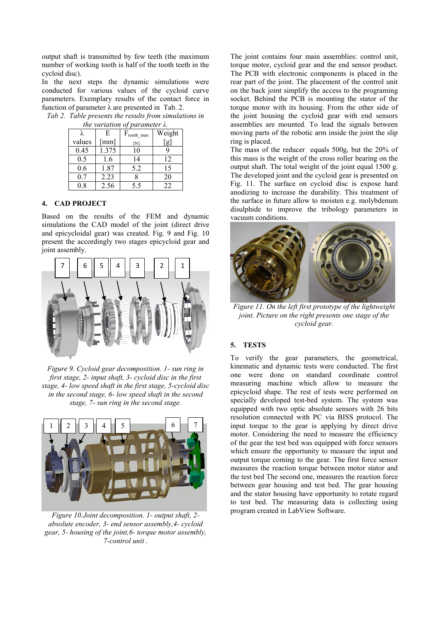output shaft is transmitted by few teeth (the maximum number of working tooth is half of the tooth teeth in the cycloid disc).

In the next steps the dynamic simulations were conducted for various values of the cycloid curve parameters. Exemplary results of the contact force in function of parameter λ are presented in Tab. 2.

|  | Tab 2. Table presents the results from simulations in |  |
|--|-------------------------------------------------------|--|
|  |                                                       |  |

| <i>the variation of parameter <math>\lambda</math>.</i> |                      |                  |        |  |  |  |  |
|---------------------------------------------------------|----------------------|------------------|--------|--|--|--|--|
| $\lambda$                                               | E                    | $F_{tooth\_max}$ | Weight |  |  |  |  |
| values                                                  | $\lceil$ mm $\rceil$ |                  | [g]    |  |  |  |  |
| 0.45                                                    | 1.375                | 10               |        |  |  |  |  |
| 0.5                                                     | 1.6                  | 14               | 12     |  |  |  |  |
| 0.6                                                     | 1.87                 | 5.2              | 15     |  |  |  |  |
| 0.7                                                     | 2.23                 |                  | 20     |  |  |  |  |
| 08                                                      | 2.56                 | 5.5              | 22     |  |  |  |  |

## **4. CAD PROJECT**

Based on the results of the FEM and dynamic simulations the CAD model of the joint (direct drive and epicycloidal gear) was created. Fig. 9 and Fig. 10 present the accordingly two stages epicycloid gear and joint assembly.



*Figure 9. Cycloid gear decomposition. 1- sun ring in first stage, 2- input shaft, 3- cycloid disc in the first stage, 4- low speed shaft in the first stage, 5-cycloid disc in the second stage, 6- low speed shaft in the second stage, 7- sun ring in the second stage.* 



*Figure 10.Joint decomposition. 1- output shaft, 2 absolute encoder, 3- end sensor assembly,4- cycloid gear, 5- housing of the joint,6- torque motor assembly, 7-control unit .* 

The joint contains four main assemblies: control unit, torque motor, cycloid gear and the end sensor product. The PCB with electronic components is placed in the rear part of the joint. The placement of the control unit on the back joint simplify the access to the programing socket. Behind the PCB is mounting the stator of the torque motor with its housing. From the other side of the joint housing the cycloid gear with end sensors assemblies are mounted. To lead the signals between moving parts of the robotic arm inside the joint the slip ring is placed.

The mass of the reducer equals 500g, but the 20% of this mass is the weight of the cross roller bearing on the output shaft. The total weight of the joint equal 1500 g. The developed joint and the cycloid gear is presented on Fig. 11. The surface on cycloid disc is expose hard anodizing to increase the durability. This treatment of the surface in future allow to moisten e.g. molybdenum disulphide to improve the tribology parameters in vacuum conditions.



*Figure 11. On the left first prototype of the lightweight joint. Picture on the right presents one stage of the cycloid gear.* 

## **5. TESTS**

To verify the gear parameters, the geometrical, kinematic and dynamic tests were conducted. The first one were done on standard coordinate control measuring machine which allow to measure the epicycloid shape. The rest of tests were performed on specially developed test-bed system. The system was equipped with two optic absolute sensors with 26 bits resolution connected with PC via BISS protocol. The input torque to the gear is applying by direct drive motor. Considering the need to measure the efficiency of the gear the test bed was equipped with force sensors which ensure the opportunity to measure the input and output torque coming to the gear. The first force sensor measures the reaction torque between motor stator and the test bed The second one, measures the reaction force between gear housing and test bed. The gear housing and the stator housing have opportunity to rotate regard to test bed. The measuring data is collecting using program created in LabView Software.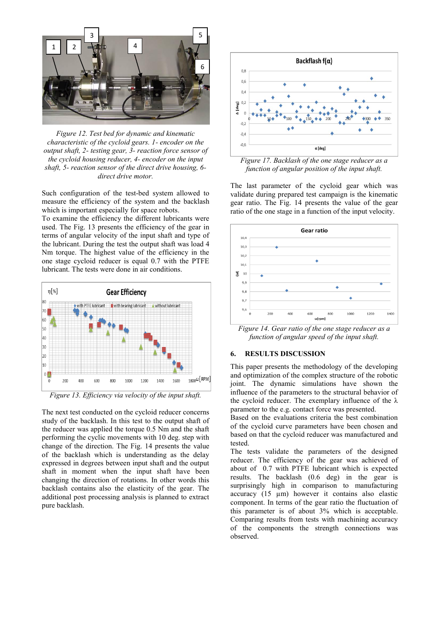

*Figure 12. Test bed for dynamic and kinematic characteristic of the cycloid gears. 1- encoder on the output shaft, 2- testing gear, 3- reaction force sensor of the cycloid housing reducer, 4- encoder on the input shaft, 5- reaction sensor of the direct drive housing, 6 direct drive motor.* 

Such configuration of the test-bed system allowed to measure the efficiency of the system and the backlash which is important especially for space robots.

To examine the efficiency the different lubricants were used. The Fig. 13 presents the efficiency of the gear in terms of angular velocity of the input shaft and type of the lubricant. During the test the output shaft was load 4 Nm torque. The highest value of the efficiency in the one stage cycloid reducer is equal 0.7 with the PTFE lubricant. The tests were done in air conditions.



*Figure 13. Efficiency via velocity of the input shaft.* 

The next test conducted on the cycloid reducer concerns study of the backlash. In this test to the output shaft of the reducer was applied the torque 0.5 Nm and the shaft performing the cyclic movements with 10 deg. step with change of the direction. The Fig. 14 presents the value of the backlash which is understanding as the delay expressed in degrees between input shaft and the output shaft in moment when the input shaft have been changing the direction of rotations. In other words this backlash contains also the elasticity of the gear. The additional post processing analysis is planned to extract pure backlash.



*Figure 17. Backlash of the one stage reducer as a function of angular position of the input shaft.*

The last parameter of the cycloid gear which was validate during prepared test campaign is the kinematic gear ratio. The Fig. 14 presents the value of the gear ratio of the one stage in a function of the input velocity.



*Figure 14. Gear ratio of the one stage reducer as a function of angular speed of the input shaft.*

## **6. RESULTS DISCUSSION**

This paper presents the methodology of the developing and optimization of the complex structure of the robotic joint. The dynamic simulations have shown the influence of the parameters to the structural behavior of the cycloid reducer. The exemplary influence of the  $\lambda$ parameter to the e.g. contact force was presented.

Based on the evaluations criteria the best combination of the cycloid curve parameters have been chosen and based on that the cycloid reducer was manufactured and tested.

The tests validate the parameters of the designed reducer. The efficiency of the gear was achieved of about of 0.7 with PTFE lubricant which is expected results. The backlash (0.6 deg) in the gear is surprisingly high in comparison to manufacturing accuracy (15 µm) however it contains also elastic component. In terms of the gear ratio the fluctuation of this parameter is of about 3% which is acceptable. Comparing results from tests with machining accuracy of the components the strength connections was observed.